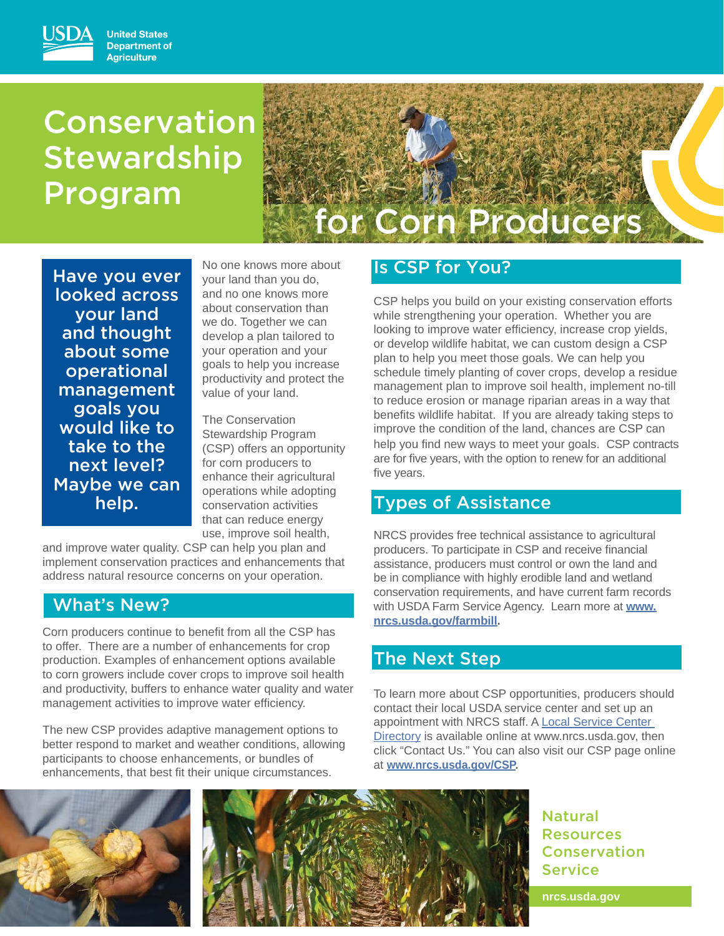# Conservation **Stewardship** Program



Have you ever looked across your land and thought about some operational management goals you would like to take to the next level? Maybe we can help.

No one knows more about your land than you do, and no one knows more about conservation than we do. Together we can develop a plan tailored to your operation and your goals to help you increase productivity and protect the value of your land.

The Conservation Stewardship Program (CSP) offers an opportunity for corn producers to enhance their agricultural operations while adopting conservation activities that can reduce energy use, improve soil health,

and improve water quality. CSP can help you plan and implement conservation practices and enhancements that address natural resource concerns on your operation.

# What's New?

Corn producers continue to benefit from all the CSP has to offer. There are a number of enhancements for crop production. Examples of enhancement options available to corn growers include cover crops to improve soil health and productivity, buffers to enhance water quality and water management activities to improve water efficiency.

The new CSP provides adaptive management options to better respond to market and weather conditions, allowing participants to choose enhancements, or bundles of enhancements, that best fit their unique circumstances.

# Is CSP for You?

CSP helps you build on your existing conservation efforts while strengthening your operation. Whether you are looking to improve water efficiency, increase crop yields, or develop wildlife habitat, we can custom design a CSP plan to help you meet those goals. We can help you schedule timely planting of cover crops, develop a residue management plan to improve soil health, implement no-till to reduce erosion or manage riparian areas in a way that benefits wildlife habitat. If you are already taking steps to improve the condition of the land, chances are CSP can help you find new ways to meet your goals. CSP contracts are for five years, with the option to renew for an additional five years.

## Types of Assistance

NRCS provides free technical assistance to agricultural producers. To participate in CSP and receive financial assistance, producers must control or own the land and be in compliance with highly erodible land and wetland conservation requirements, and have current farm records with USDA Farm Service Agency. Learn more at **www. nrcs.usda.gov/farmbill.**

# The Next Step

To learn more about CSP opportunities, producers should contact their local USDA service center and set up an appointment with NRCS staff. A Local Service Center Directory is available online at www.nrcs.usda.gov, then click "Contact Us." You can also visit our CSP page online at **www.nrcs.usda.gov/CSP.**





Natural Resources Conservation Service

**nrcs.usda.gov**